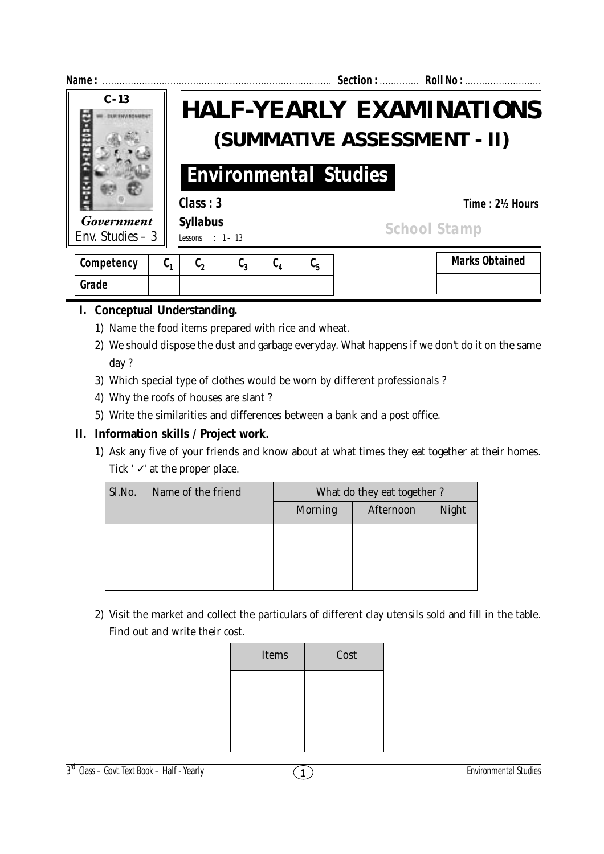

| Competency | v. | u^ | ັບ າ | v, | .u |
|------------|----|----|------|----|----|
| Grade      |    |    |      |    |    |

# **I. Conceptual Understanding.**

- 1) Name the food items prepared with rice and wheat.
- 2) We should dispose the dust and garbage everyday. What happens if we don't do it on the same day ?
- 3) Which special type of clothes would be worn by different professionals ?
- 4) Why the roofs of houses are slant ?
- 5) Write the similarities and differences between a bank and a post office.

## **II. Information skills / Project work.**

1) Ask any five of your friends and know about at what times they eat together at their homes. Tick  $'$   $\checkmark$  at the proper place.

| Sl.No. | Name of the friend | What do they eat together? |           |       |  |  |
|--------|--------------------|----------------------------|-----------|-------|--|--|
|        |                    | Morning                    | Afternoon | Night |  |  |
|        |                    |                            |           |       |  |  |
|        |                    |                            |           |       |  |  |
|        |                    |                            |           |       |  |  |
|        |                    |                            |           |       |  |  |

2) Visit the market and collect the particulars of different clay utensils sold and fill in the table. Find out and write their cost.